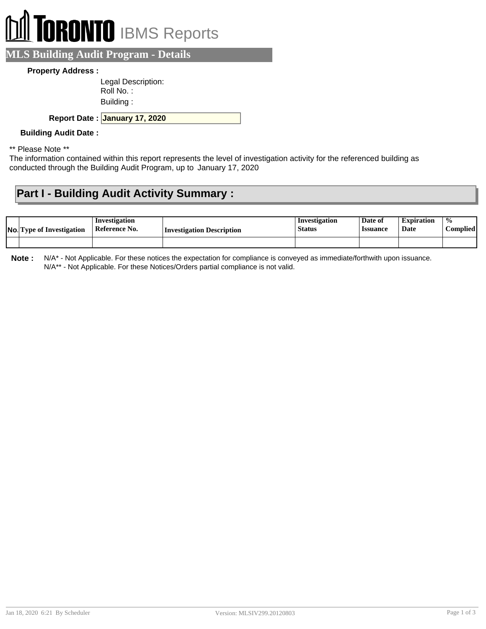# **RONTO** IBMS Reports

**MLS Building Audit Program - Details**

#### **Property Address :**

| Legal Description: |
|--------------------|
| Roll No. :         |
| Building:          |

**January 17, 2020 Report Date :**

#### **Building Audit Date :**

\*\* Please Note \*\*

The information contained within this report represents the level of investigation activity for the referenced building as conducted through the Building Audit Program, up to January 17, 2020

## **Part I - Building Audit Activity Summary :**

| <b>No.</b> Type of Investigation | Investigation<br>Reference No. | Investigation Description | Investigation<br><b>Status</b> | Date of<br><b>Issuance</b> | <b>Expiration</b><br>Date | $\frac{0}{0}$<br><b>Complied'</b> |
|----------------------------------|--------------------------------|---------------------------|--------------------------------|----------------------------|---------------------------|-----------------------------------|
|                                  |                                |                           |                                |                            |                           |                                   |

**Note :** N/A\* - Not Applicable. For these notices the expectation for compliance is conveyed as immediate/forthwith upon issuance. N/A\*\* - Not Applicable. For these Notices/Orders partial compliance is not valid.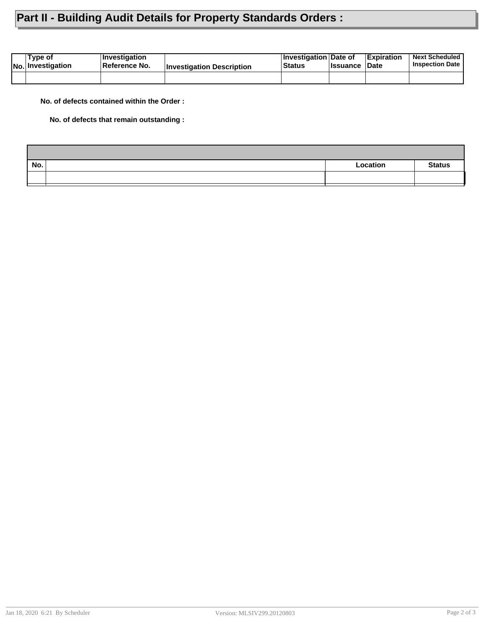## **Part II - Building Audit Details for Property Standards Orders :**

| Tvpe of<br><b>No. Investigation</b> | <b>∣Investigation</b><br><b>∣Reference No.</b> | <b>Investigation Description</b> | <b>Investigation Date of</b><br><b>Status</b> | <b>Issuance Date</b> | <b>Expiration</b> | <b>Next Scheduled</b><br><b>Inspection Date</b> |
|-------------------------------------|------------------------------------------------|----------------------------------|-----------------------------------------------|----------------------|-------------------|-------------------------------------------------|
|                                     |                                                |                                  |                                               |                      |                   |                                                 |

**No. of defects contained within the Order :**

**No. of defects that remain outstanding :**

| No. | Location | <b>Status</b> |
|-----|----------|---------------|
|     |          |               |
|     |          |               |